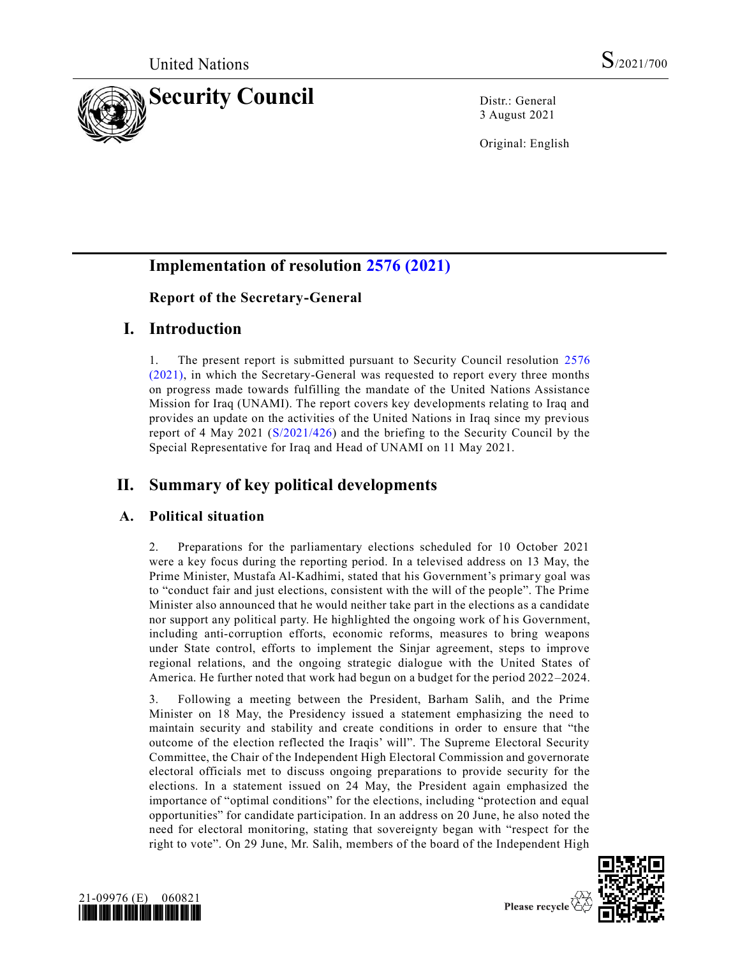

3 August 2021

Original: English

# **Implementation of resolution [2576 \(2021\)](https://undocs.org/en/S/RES/2576(2021))**

## **Report of the Secretary-General**

## **I. Introduction**

1. The present report is submitted pursuant to Security Council resolution [2576](https://undocs.org/en/S/RES/2576(2021))  [\(2021\),](https://undocs.org/en/S/RES/2576(2021)) in which the Secretary-General was requested to report every three months on progress made towards fulfilling the mandate of the United Nations Assistance Mission for Iraq (UNAMI). The report covers key developments relating to Iraq and provides an update on the activities of the United Nations in Iraq since my previous report of 4 May 2021 [\(S/2021/426\)](https://undocs.org/en/S/2021/426) and the briefing to the Security Council by the Special Representative for Iraq and Head of UNAMI on 11 May 2021.

# **II. Summary of key political developments**

### **A. Political situation**

2. Preparations for the parliamentary elections scheduled for 10 October 2021 were a key focus during the reporting period. In a televised address on 13 May, the Prime Minister, Mustafa Al-Kadhimi, stated that his Government's primary goal was to "conduct fair and just elections, consistent with the will of the people". The Prime Minister also announced that he would neither take part in the elections as a candidate nor support any political party. He highlighted the ongoing work of his Government, including anti-corruption efforts, economic reforms, measures to bring weapons under State control, efforts to implement the Sinjar agreement, steps to improve regional relations, and the ongoing strategic dialogue with the United States of America. He further noted that work had begun on a budget for the period 2022–2024.

3. Following a meeting between the President, Barham Salih, and the Prime Minister on 18 May, the Presidency issued a statement emphasizing the need to maintain security and stability and create conditions in order to ensure that "the outcome of the election reflected the Iraqis' will". The Supreme Electoral Security Committee, the Chair of the Independent High Electoral Commission and governorate electoral officials met to discuss ongoing preparations to provide security for the elections. In a statement issued on 24 May, the President again emphasized the importance of "optimal conditions" for the elections, including "protection and equal opportunities" for candidate participation. In an address on 20 June, he also noted the need for electoral monitoring, stating that sovereignty began with "respect for the right to vote". On 29 June, Mr. Salih, members of the board of the Independent High





Please recycle  $\mathcal{A}$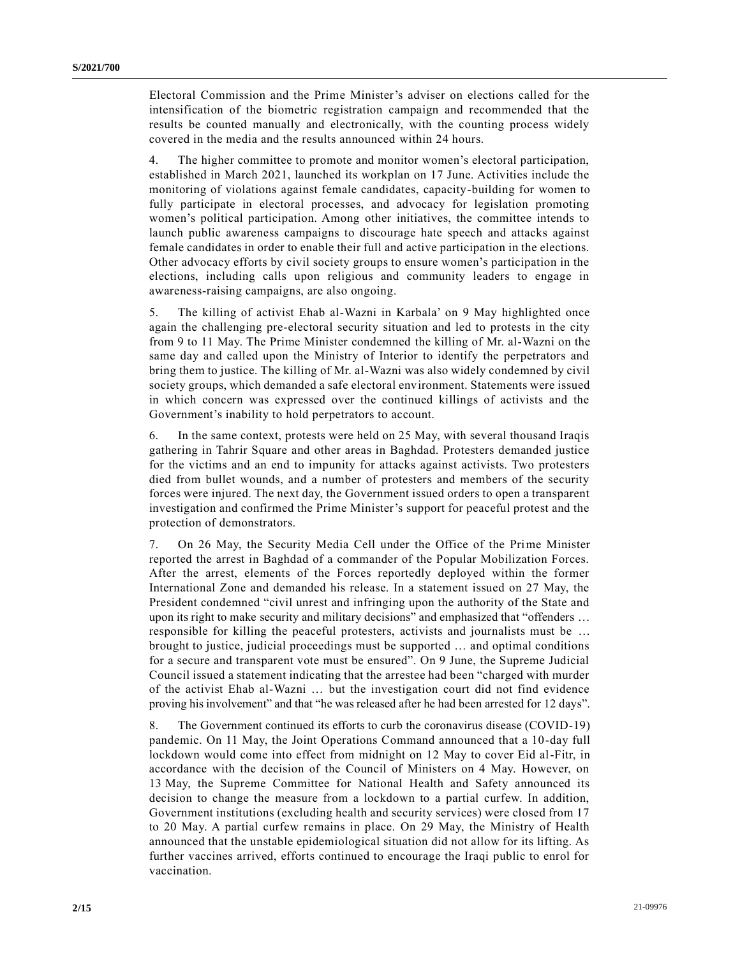Electoral Commission and the Prime Minister's adviser on elections called for the intensification of the biometric registration campaign and recommended that the results be counted manually and electronically, with the counting process widely covered in the media and the results announced within 24 hours.

4. The higher committee to promote and monitor women's electoral participation, established in March 2021, launched its workplan on 17 June. Activities include the monitoring of violations against female candidates, capacity-building for women to fully participate in electoral processes, and advocacy for legislation promoting women's political participation. Among other initiatives, the committee intends to launch public awareness campaigns to discourage hate speech and attacks against female candidates in order to enable their full and active participation in the elections. Other advocacy efforts by civil society groups to ensure women's participation in the elections, including calls upon religious and community leaders to engage in awareness-raising campaigns, are also ongoing.

5. The killing of activist Ehab al-Wazni in Karbala' on 9 May highlighted once again the challenging pre-electoral security situation and led to protests in the city from 9 to 11 May. The Prime Minister condemned the killing of Mr. al-Wazni on the same day and called upon the Ministry of Interior to identify the perpetrators and bring them to justice. The killing of Mr. al-Wazni was also widely condemned by civil society groups, which demanded a safe electoral environment. Statements were issued in which concern was expressed over the continued killings of activists and the Government's inability to hold perpetrators to account.

6. In the same context, protests were held on 25 May, with several thousand Iraqis gathering in Tahrir Square and other areas in Baghdad. Protesters demanded justice for the victims and an end to impunity for attacks against activists. Two protesters died from bullet wounds, and a number of protesters and members of the security forces were injured. The next day, the Government issued orders to open a transparent investigation and confirmed the Prime Minister's support for peaceful protest and the protection of demonstrators.

7. On 26 May, the Security Media Cell under the Office of the Prime Minister reported the arrest in Baghdad of a commander of the Popular Mobilization Forces. After the arrest, elements of the Forces reportedly deployed within the former International Zone and demanded his release. In a statement issued on 27 May, the President condemned "civil unrest and infringing upon the authority of the State and upon its right to make security and military decisions" and emphasized that "offenders … responsible for killing the peaceful protesters, activists and journalists must be … brought to justice, judicial proceedings must be supported … and optimal conditions for a secure and transparent vote must be ensured". On 9 June, the Supreme Judicial Council issued a statement indicating that the arrestee had been "charged with murder of the activist Ehab al-Wazni … but the investigation court did not find evidence proving his involvement" and that "he was released after he had been arrested for 12 days".

8. The Government continued its efforts to curb the coronavirus disease (COVID-19) pandemic. On 11 May, the Joint Operations Command announced that a 10-day full lockdown would come into effect from midnight on 12 May to cover Eid al-Fitr, in accordance with the decision of the Council of Ministers on 4 May. However, on 13 May, the Supreme Committee for National Health and Safety announced its decision to change the measure from a lockdown to a partial curfew. In addition, Government institutions (excluding health and security services) were closed from 17 to 20 May. A partial curfew remains in place. On 29 May, the Ministry of Health announced that the unstable epidemiological situation did not allow for its lifting. As further vaccines arrived, efforts continued to encourage the Iraqi public to enrol for vaccination.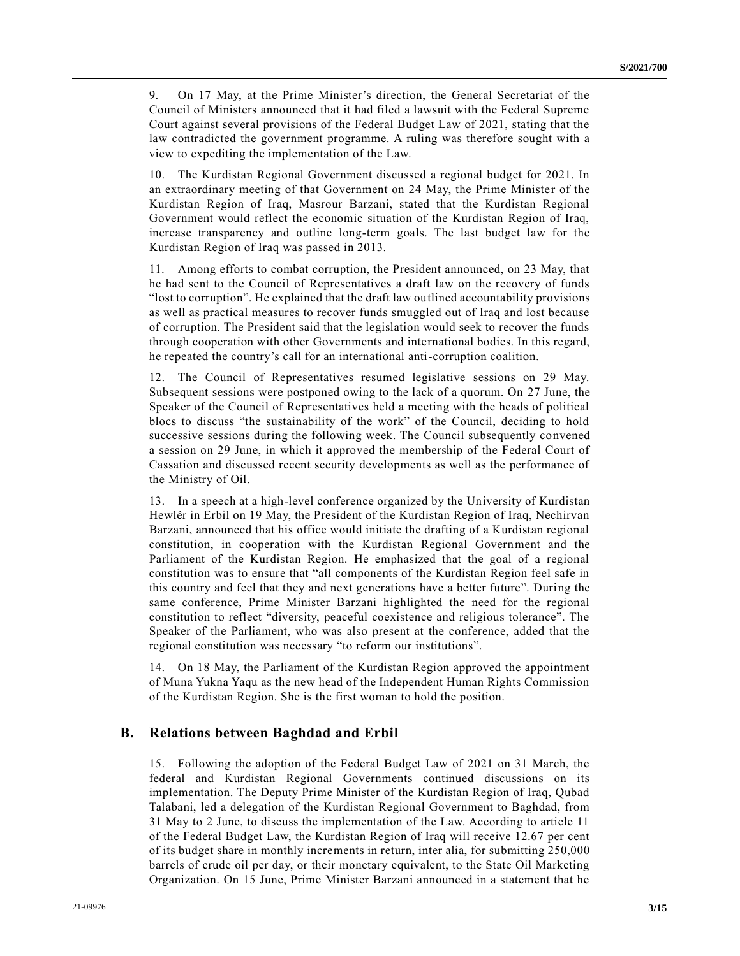9. On 17 May, at the Prime Minister's direction, the General Secretariat of the Council of Ministers announced that it had filed a lawsuit with the Federal Supreme Court against several provisions of the Federal Budget Law of 2021, stating that the law contradicted the government programme. A ruling was therefore sought with a view to expediting the implementation of the Law.

10. The Kurdistan Regional Government discussed a regional budget for 2021. In an extraordinary meeting of that Government on 24 May, the Prime Minister of the Kurdistan Region of Iraq, Masrour Barzani, stated that the Kurdistan Regional Government would reflect the economic situation of the Kurdistan Region of Iraq, increase transparency and outline long-term goals. The last budget law for the Kurdistan Region of Iraq was passed in 2013.

11. Among efforts to combat corruption, the President announced, on 23 May, that he had sent to the Council of Representatives a draft law on the recovery of funds "lost to corruption". He explained that the draft law outlined accountability provisions as well as practical measures to recover funds smuggled out of Iraq and lost because of corruption. The President said that the legislation would seek to recover the funds through cooperation with other Governments and international bodies. In this regard, he repeated the country's call for an international anti-corruption coalition.

12. The Council of Representatives resumed legislative sessions on 29 May. Subsequent sessions were postponed owing to the lack of a quorum. On 27 June, the Speaker of the Council of Representatives held a meeting with the heads of political blocs to discuss "the sustainability of the work" of the Council, deciding to hold successive sessions during the following week. The Council subsequently convened a session on 29 June, in which it approved the membership of the Federal Court of Cassation and discussed recent security developments as well as the performance of the Ministry of Oil.

13. In a speech at a high-level conference organized by the University of Kurdistan Hewlêr in Erbil on 19 May, the President of the Kurdistan Region of Iraq, Nechirvan Barzani, announced that his office would initiate the drafting of a Kurdistan regional constitution, in cooperation with the Kurdistan Regional Government and the Parliament of the Kurdistan Region. He emphasized that the goal of a regional constitution was to ensure that "all components of the Kurdistan Region feel safe in this country and feel that they and next generations have a better future". During the same conference, Prime Minister Barzani highlighted the need for the regional constitution to reflect "diversity, peaceful coexistence and religious tolerance". The Speaker of the Parliament, who was also present at the conference, added that the regional constitution was necessary "to reform our institutions".

14. On 18 May, the Parliament of the Kurdistan Region approved the appointment of Muna Yukna Yaqu as the new head of the Independent Human Rights Commission of the Kurdistan Region. She is the first woman to hold the position.

#### **B. Relations between Baghdad and Erbil**

15. Following the adoption of the Federal Budget Law of 2021 on 31 March, the federal and Kurdistan Regional Governments continued discussions on its implementation. The Deputy Prime Minister of the Kurdistan Region of Iraq, Qubad Talabani, led a delegation of the Kurdistan Regional Government to Baghdad, from 31 May to 2 June, to discuss the implementation of the Law. According to article 11 of the Federal Budget Law, the Kurdistan Region of Iraq will receive 12.67 per cent of its budget share in monthly increments in return, inter alia, for submitting 250,000 barrels of crude oil per day, or their monetary equivalent, to the State Oil Marketing Organization. On 15 June, Prime Minister Barzani announced in a statement that he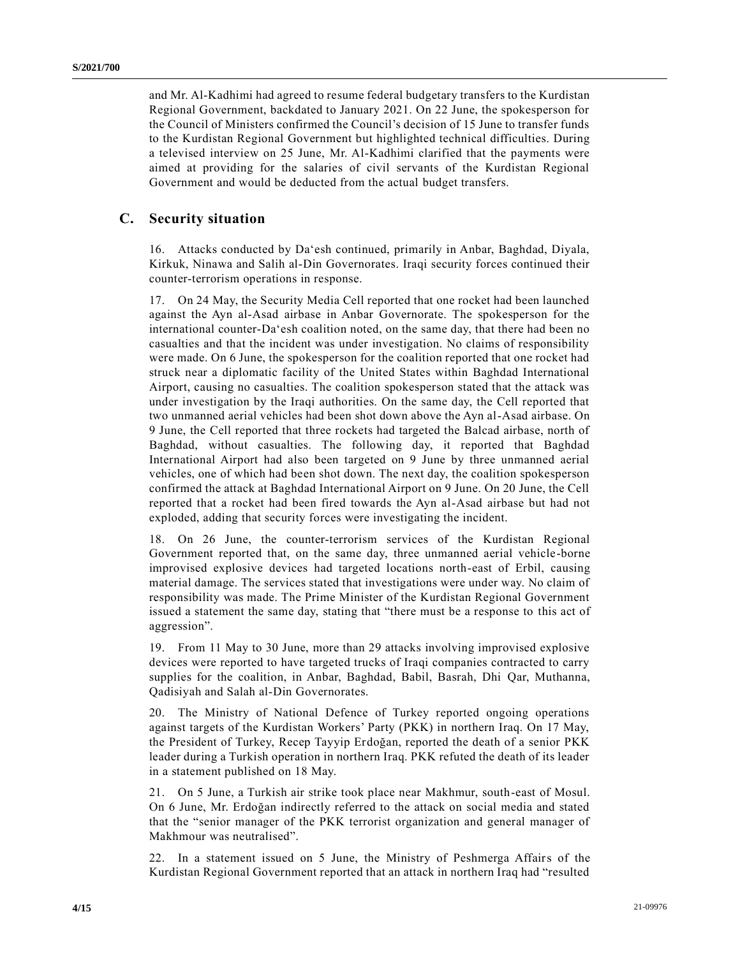and Mr. Al-Kadhimi had agreed to resume federal budgetary transfers to the Kurdistan Regional Government, backdated to January 2021. On 22 June, the spokesperson for the Council of Ministers confirmed the Council's decision of 15 June to transfer funds to the Kurdistan Regional Government but highlighted technical difficulties. During a televised interview on 25 June, Mr. Al-Kadhimi clarified that the payments were aimed at providing for the salaries of civil servants of the Kurdistan Regional Government and would be deducted from the actual budget transfers.

#### **C. Security situation**

16. Attacks conducted by Da'esh continued, primarily in Anbar, Baghdad, Diyala, Kirkuk, Ninawa and Salih al-Din Governorates. Iraqi security forces continued their counter-terrorism operations in response.

17. On 24 May, the Security Media Cell reported that one rocket had been launched against the Ayn al-Asad airbase in Anbar Governorate. The spokesperson for the international counter-Da'esh coalition noted, on the same day, that there had been no casualties and that the incident was under investigation. No claims of responsibility were made. On 6 June, the spokesperson for the coalition reported that one rocket had struck near a diplomatic facility of the United States within Baghdad International Airport, causing no casualties. The coalition spokesperson stated that the attack was under investigation by the Iraqi authorities. On the same day, the Cell reported that two unmanned aerial vehicles had been shot down above the Ayn al-Asad airbase. On 9 June, the Cell reported that three rockets had targeted the Balcad airbase, north of Baghdad, without casualties. The following day, it reported that Baghdad International Airport had also been targeted on 9 June by three unmanned aerial vehicles, one of which had been shot down. The next day, the coalition spokesperson confirmed the attack at Baghdad International Airport on 9 June. On 20 June, the Cell reported that a rocket had been fired towards the Ayn al-Asad airbase but had not exploded, adding that security forces were investigating the incident.

18. On 26 June, the counter-terrorism services of the Kurdistan Regional Government reported that, on the same day, three unmanned aerial vehicle-borne improvised explosive devices had targeted locations north-east of Erbil, causing material damage. The services stated that investigations were under way. No claim of responsibility was made. The Prime Minister of the Kurdistan Regional Government issued a statement the same day, stating that "there must be a response to this act of aggression".

19. From 11 May to 30 June, more than 29 attacks involving improvised explosive devices were reported to have targeted trucks of Iraqi companies contracted to carry supplies for the coalition, in Anbar, Baghdad, Babil, Basrah, Dhi Qar, Muthanna, Qadisiyah and Salah al-Din Governorates.

20. The Ministry of National Defence of Turkey reported ongoing operations against targets of the Kurdistan Workers' Party (PKK) in northern Iraq. On 17 May, the President of Turkey, Recep Tayyip Erdoğan, reported the death of a senior PKK leader during a Turkish operation in northern Iraq. PKK refuted the death of its leader in a statement published on 18 May.

21. On 5 June, a Turkish air strike took place near Makhmur, south-east of Mosul. On 6 June, Mr. Erdoğan indirectly referred to the attack on social media and stated that the "senior manager of the PKK terrorist organization and general manager of Makhmour was neutralised".

22. In a statement issued on 5 June, the Ministry of Peshmerga Affairs of the Kurdistan Regional Government reported that an attack in northern Iraq had "resulted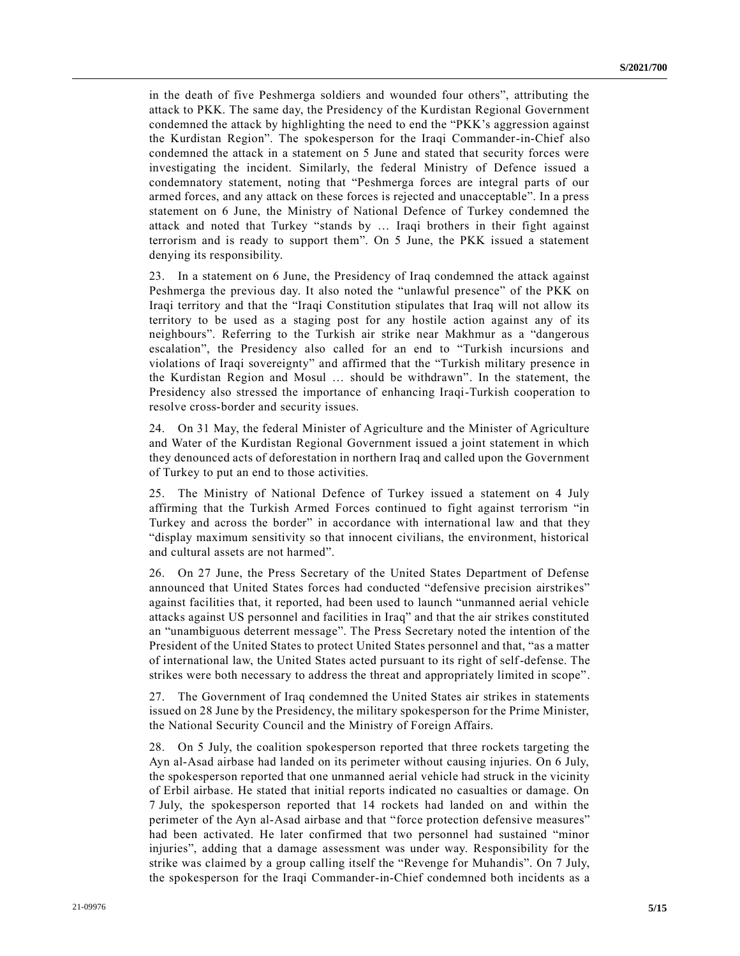in the death of five Peshmerga soldiers and wounded four others", attributing the attack to PKK. The same day, the Presidency of the Kurdistan Regional Government condemned the attack by highlighting the need to end the "PKK's aggression against the Kurdistan Region". The spokesperson for the Iraqi Commander-in-Chief also condemned the attack in a statement on 5 June and stated that security forces were investigating the incident. Similarly, the federal Ministry of Defence issued a condemnatory statement, noting that "Peshmerga forces are integral parts of our armed forces, and any attack on these forces is rejected and unacceptable". In a press statement on 6 June, the Ministry of National Defence of Turkey condemned the attack and noted that Turkey "stands by … Iraqi brothers in their fight against terrorism and is ready to support them". On 5 June, the PKK issued a statement denying its responsibility.

23. In a statement on 6 June, the Presidency of Iraq condemned the attack against Peshmerga the previous day. It also noted the "unlawful presence" of the PKK on Iraqi territory and that the "Iraqi Constitution stipulates that Iraq will not allow its territory to be used as a staging post for any hostile action against any of its neighbours". Referring to the Turkish air strike near Makhmur as a "dangerous escalation", the Presidency also called for an end to "Turkish incursions and violations of Iraqi sovereignty" and affirmed that the "Turkish military presence in the Kurdistan Region and Mosul … should be withdrawn". In the statement, the Presidency also stressed the importance of enhancing Iraqi-Turkish cooperation to resolve cross-border and security issues.

24. On 31 May, the federal Minister of Agriculture and the Minister of Agriculture and Water of the Kurdistan Regional Government issued a joint statement in which they denounced acts of deforestation in northern Iraq and called upon the Government of Turkey to put an end to those activities.

25. The Ministry of National Defence of Turkey issued a statement on 4 July affirming that the Turkish Armed Forces continued to fight against terrorism "in Turkey and across the border" in accordance with international law and that they "display maximum sensitivity so that innocent civilians, the environment, historical and cultural assets are not harmed".

26. On 27 June, the Press Secretary of the United States Department of Defense announced that United States forces had conducted "defensive precision airstrikes" against facilities that, it reported, had been used to launch "unmanned aerial vehicle attacks against US personnel and facilities in Iraq" and that the air strikes constituted an "unambiguous deterrent message". The Press Secretary noted the intention of the President of the United States to protect United States personnel and that, "as a matter of international law, the United States acted pursuant to its right of self-defense. The strikes were both necessary to address the threat and appropriately limited in scope".

27. The Government of Iraq condemned the United States air strikes in statements issued on 28 June by the Presidency, the military spokesperson for the Prime Minister, the National Security Council and the Ministry of Foreign Affairs.

28. On 5 July, the coalition spokesperson reported that three rockets targeting the Ayn al-Asad airbase had landed on its perimeter without causing injuries. On 6 July, the spokesperson reported that one unmanned aerial vehicle had struck in the vicinity of Erbil airbase. He stated that initial reports indicated no casualties or damage. On 7 July, the spokesperson reported that 14 rockets had landed on and within the perimeter of the Ayn al-Asad airbase and that "force protection defensive measures" had been activated. He later confirmed that two personnel had sustained "minor injuries", adding that a damage assessment was under way. Responsibility for the strike was claimed by a group calling itself the "Revenge for Muhandis". On 7 July, the spokesperson for the Iraqi Commander-in-Chief condemned both incidents as a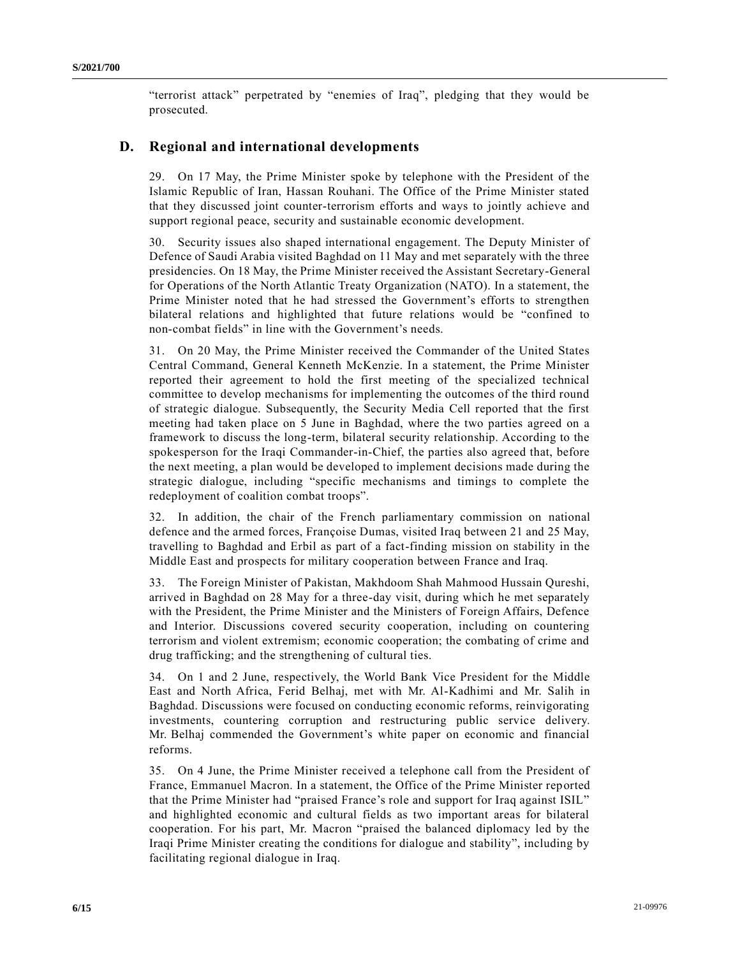"terrorist attack" perpetrated by "enemies of Iraq", pledging that they would be prosecuted.

### **D. Regional and international developments**

29. On 17 May, the Prime Minister spoke by telephone with the President of the Islamic Republic of Iran, Hassan Rouhani. The Office of the Prime Minister stated that they discussed joint counter-terrorism efforts and ways to jointly achieve and support regional peace, security and sustainable economic development.

30. Security issues also shaped international engagement. The Deputy Minister of Defence of Saudi Arabia visited Baghdad on 11 May and met separately with the three presidencies. On 18 May, the Prime Minister received the Assistant Secretary-General for Operations of the North Atlantic Treaty Organization (NATO). In a statement, the Prime Minister noted that he had stressed the Government's efforts to strengthen bilateral relations and highlighted that future relations would be "confined to non-combat fields" in line with the Government's needs.

31. On 20 May, the Prime Minister received the Commander of the United States Central Command, General Kenneth McKenzie. In a statement, the Prime Minister reported their agreement to hold the first meeting of the specialized technical committee to develop mechanisms for implementing the outcomes of the third round of strategic dialogue. Subsequently, the Security Media Cell reported that the first meeting had taken place on 5 June in Baghdad, where the two parties agreed on a framework to discuss the long-term, bilateral security relationship. According to the spokesperson for the Iraqi Commander-in-Chief, the parties also agreed that, before the next meeting, a plan would be developed to implement decisions made during the strategic dialogue, including "specific mechanisms and timings to complete the redeployment of coalition combat troops".

32. In addition, the chair of the French parliamentary commission on national defence and the armed forces, Françoise Dumas, visited Iraq between 21 and 25 May, travelling to Baghdad and Erbil as part of a fact-finding mission on stability in the Middle East and prospects for military cooperation between France and Iraq.

33. The Foreign Minister of Pakistan, Makhdoom Shah Mahmood Hussain Qureshi, arrived in Baghdad on 28 May for a three-day visit, during which he met separately with the President, the Prime Minister and the Ministers of Foreign Affairs, Defence and Interior. Discussions covered security cooperation, including on countering terrorism and violent extremism; economic cooperation; the combating of crime and drug trafficking; and the strengthening of cultural ties.

34. On 1 and 2 June, respectively, the World Bank Vice President for the Middle East and North Africa, Ferid Belhaj, met with Mr. Al-Kadhimi and Mr. Salih in Baghdad. Discussions were focused on conducting economic reforms, reinvigorating investments, countering corruption and restructuring public service delivery. Mr. Belhaj commended the Government's white paper on economic and financial reforms.

35. On 4 June, the Prime Minister received a telephone call from the President of France, Emmanuel Macron. In a statement, the Office of the Prime Minister reported that the Prime Minister had "praised France's role and support for Iraq against ISIL" and highlighted economic and cultural fields as two important areas for bilateral cooperation. For his part, Mr. Macron "praised the balanced diplomacy led by the Iraqi Prime Minister creating the conditions for dialogue and stability", including by facilitating regional dialogue in Iraq.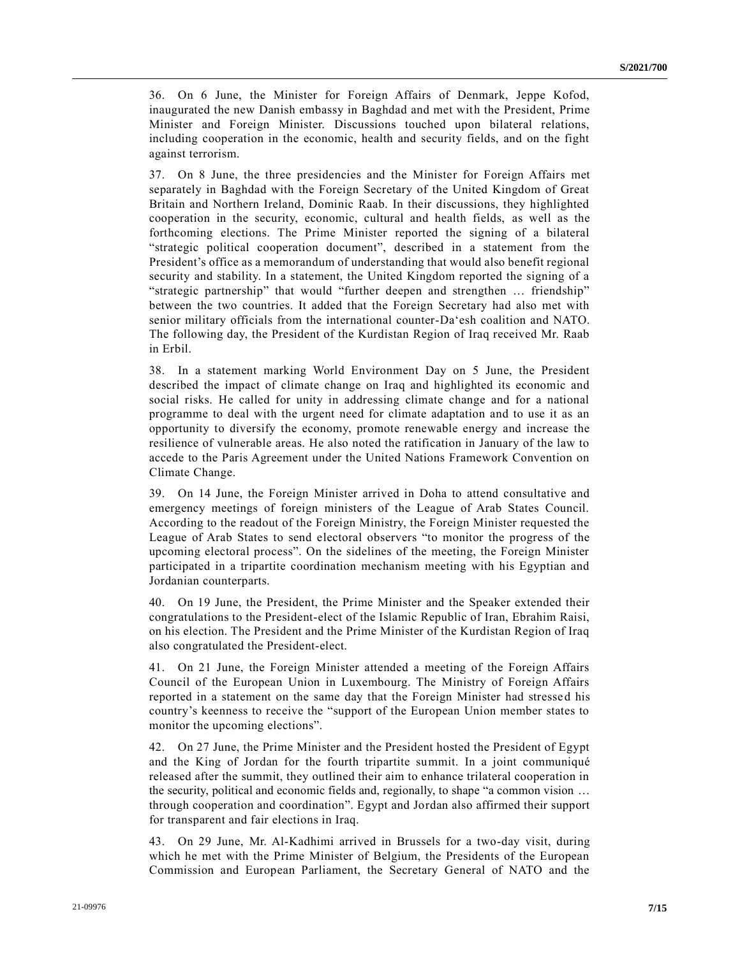36. On 6 June, the Minister for Foreign Affairs of Denmark, Jeppe Kofod, inaugurated the new Danish embassy in Baghdad and met with the President, Prime Minister and Foreign Minister. Discussions touched upon bilateral relations, including cooperation in the economic, health and security fields, and on the fight against terrorism.

37. On 8 June, the three presidencies and the Minister for Foreign Affairs met separately in Baghdad with the Foreign Secretary of the United Kingdom of Great Britain and Northern Ireland, Dominic Raab. In their discussions, they highlighted cooperation in the security, economic, cultural and health fields, as well as the forthcoming elections. The Prime Minister reported the signing of a bilateral "strategic political cooperation document", described in a statement from the President's office as a memorandum of understanding that would also benefit regional security and stability. In a statement, the United Kingdom reported the signing of a "strategic partnership" that would "further deepen and strengthen … friendship" between the two countries. It added that the Foreign Secretary had also met with senior military officials from the international counter-Da'esh coalition and NATO. The following day, the President of the Kurdistan Region of Iraq received Mr. Raab in Erbil.

38. In a statement marking World Environment Day on 5 June, the President described the impact of climate change on Iraq and highlighted its economic and social risks. He called for unity in addressing climate change and for a national programme to deal with the urgent need for climate adaptation and to use it as an opportunity to diversify the economy, promote renewable energy and increase the resilience of vulnerable areas. He also noted the ratification in January of the law to accede to the Paris Agreement under the United Nations Framework Convention on Climate Change.

39. On 14 June, the Foreign Minister arrived in Doha to attend consultative and emergency meetings of foreign ministers of the League of Arab States Council. According to the readout of the Foreign Ministry, the Foreign Minister requested the League of Arab States to send electoral observers "to monitor the progress of the upcoming electoral process". On the sidelines of the meeting, the Foreign Minister participated in a tripartite coordination mechanism meeting with his Egyptian and Jordanian counterparts.

40. On 19 June, the President, the Prime Minister and the Speaker extended their congratulations to the President-elect of the Islamic Republic of Iran, Ebrahim Raisi, on his election. The President and the Prime Minister of the Kurdistan Region of Iraq also congratulated the President-elect.

41. On 21 June, the Foreign Minister attended a meeting of the Foreign Affairs Council of the European Union in Luxembourg. The Ministry of Foreign Affairs reported in a statement on the same day that the Foreign Minister had stressed his country's keenness to receive the "support of the European Union member states to monitor the upcoming elections".

42. On 27 June, the Prime Minister and the President hosted the President of Egypt and the King of Jordan for the fourth tripartite summit. In a joint communiqué released after the summit, they outlined their aim to enhance trilateral cooperation in the security, political and economic fields and, regionally, to shape "a common vision … through cooperation and coordination". Egypt and Jordan also affirmed their support for transparent and fair elections in Iraq.

43. On 29 June, Mr. Al-Kadhimi arrived in Brussels for a two-day visit, during which he met with the Prime Minister of Belgium, the Presidents of the European Commission and European Parliament, the Secretary General of NATO and the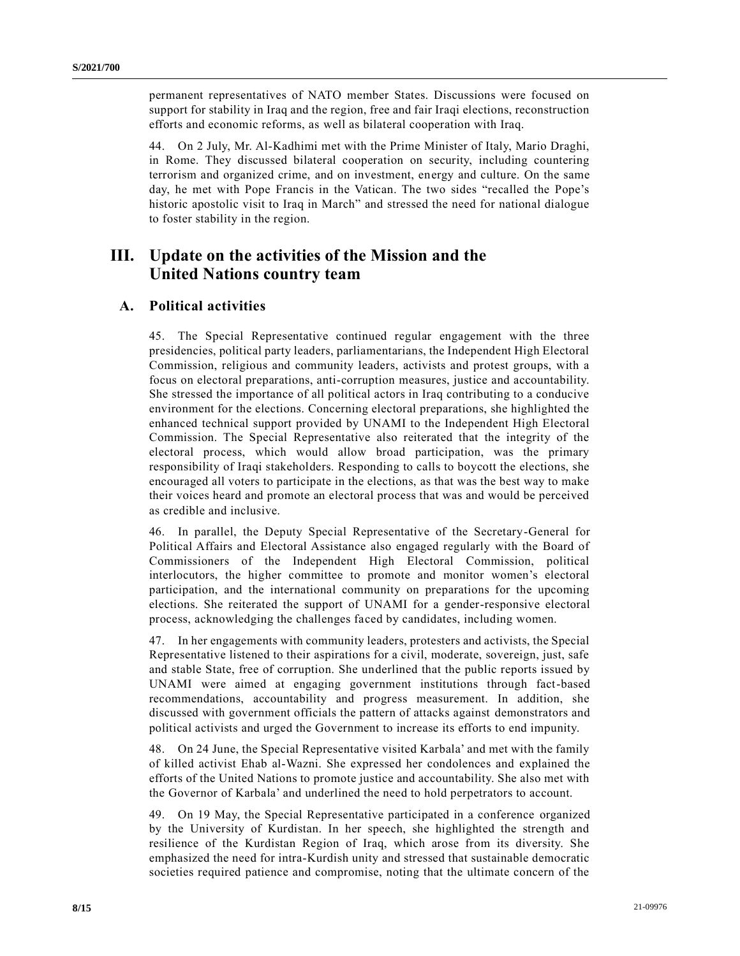permanent representatives of NATO member States. Discussions were focused on support for stability in Iraq and the region, free and fair Iraqi elections, reconstruction efforts and economic reforms, as well as bilateral cooperation with Iraq.

44. On 2 July, Mr. Al-Kadhimi met with the Prime Minister of Italy, Mario Draghi, in Rome. They discussed bilateral cooperation on security, including countering terrorism and organized crime, and on investment, energy and culture. On the same day, he met with Pope Francis in the Vatican. The two sides "recalled the Pope's historic apostolic visit to Iraq in March" and stressed the need for national dialogue to foster stability in the region.

## **III. Update on the activities of the Mission and the United Nations country team**

### **A. Political activities**

45. The Special Representative continued regular engagement with the three presidencies, political party leaders, parliamentarians, the Independent High Electoral Commission, religious and community leaders, activists and protest groups, with a focus on electoral preparations, anti-corruption measures, justice and accountability. She stressed the importance of all political actors in Iraq contributing to a conducive environment for the elections. Concerning electoral preparations, she highlighted the enhanced technical support provided by UNAMI to the Independent High Electoral Commission. The Special Representative also reiterated that the integrity of the electoral process, which would allow broad participation, was the primary responsibility of Iraqi stakeholders. Responding to calls to boycott the elections, she encouraged all voters to participate in the elections, as that was the best way to make their voices heard and promote an electoral process that was and would be perceived as credible and inclusive.

46. In parallel, the Deputy Special Representative of the Secretary-General for Political Affairs and Electoral Assistance also engaged regularly with the Board of Commissioners of the Independent High Electoral Commission, political interlocutors, the higher committee to promote and monitor women's electoral participation, and the international community on preparations for the upcoming elections. She reiterated the support of UNAMI for a gender-responsive electoral process, acknowledging the challenges faced by candidates, including women.

47. In her engagements with community leaders, protesters and activists, the Special Representative listened to their aspirations for a civil, moderate, sovereign, just, safe and stable State, free of corruption. She underlined that the public reports issued by UNAMI were aimed at engaging government institutions through fact-based recommendations, accountability and progress measurement. In addition, she discussed with government officials the pattern of attacks against demonstrators and political activists and urged the Government to increase its efforts to end impunity.

48. On 24 June, the Special Representative visited Karbala' and met with the family of killed activist Ehab al-Wazni. She expressed her condolences and explained the efforts of the United Nations to promote justice and accountability. She also met with the Governor of Karbala' and underlined the need to hold perpetrators to account.

49. On 19 May, the Special Representative participated in a conference organized by the University of Kurdistan. In her speech, she highlighted the strength and resilience of the Kurdistan Region of Iraq, which arose from its diversity. She emphasized the need for intra-Kurdish unity and stressed that sustainable democratic societies required patience and compromise, noting that the ultimate concern of the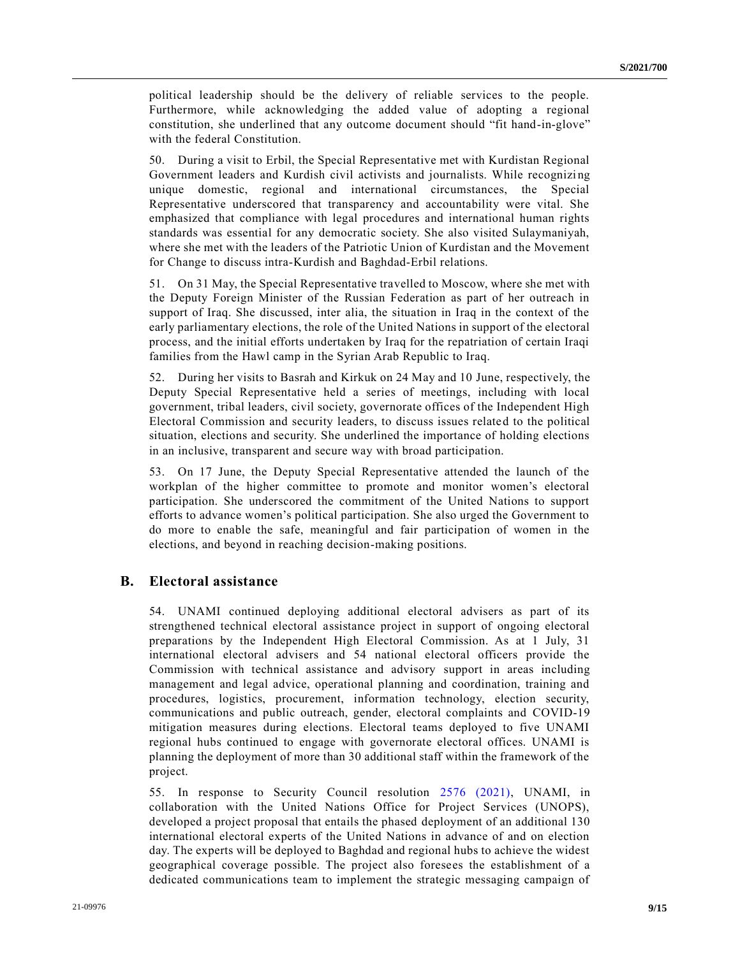political leadership should be the delivery of reliable services to the people. Furthermore, while acknowledging the added value of adopting a regional constitution, she underlined that any outcome document should "fit hand-in-glove" with the federal Constitution.

50. During a visit to Erbil, the Special Representative met with Kurdistan Regional Government leaders and Kurdish civil activists and journalists. While recognizi ng unique domestic, regional and international circumstances, the Special Representative underscored that transparency and accountability were vital. She emphasized that compliance with legal procedures and international human rights standards was essential for any democratic society. She also visited Sulaymaniyah, where she met with the leaders of the Patriotic Union of Kurdistan and the Movement for Change to discuss intra-Kurdish and Baghdad-Erbil relations.

51. On 31 May, the Special Representative travelled to Moscow, where she met with the Deputy Foreign Minister of the Russian Federation as part of her outreach in support of Iraq. She discussed, inter alia, the situation in Iraq in the context of the early parliamentary elections, the role of the United Nations in support of the electoral process, and the initial efforts undertaken by Iraq for the repatriation of certain Iraqi families from the Hawl camp in the Syrian Arab Republic to Iraq.

52. During her visits to Basrah and Kirkuk on 24 May and 10 June, respectively, the Deputy Special Representative held a series of meetings, including with local government, tribal leaders, civil society, governorate offices of the Independent High Electoral Commission and security leaders, to discuss issues related to the political situation, elections and security. She underlined the importance of holding elections in an inclusive, transparent and secure way with broad participation.

53. On 17 June, the Deputy Special Representative attended the launch of the workplan of the higher committee to promote and monitor women's electoral participation. She underscored the commitment of the United Nations to support efforts to advance women's political participation. She also urged the Government to do more to enable the safe, meaningful and fair participation of women in the elections, and beyond in reaching decision-making positions.

#### **B. Electoral assistance**

54. UNAMI continued deploying additional electoral advisers as part of its strengthened technical electoral assistance project in support of ongoing electoral preparations by the Independent High Electoral Commission. As at 1 July, 31 international electoral advisers and 54 national electoral officers provide the Commission with technical assistance and advisory support in areas including management and legal advice, operational planning and coordination, training and procedures, logistics, procurement, information technology, election security, communications and public outreach, gender, electoral complaints and COVID-19 mitigation measures during elections. Electoral teams deployed to five UNAMI regional hubs continued to engage with governorate electoral offices. UNAMI is planning the deployment of more than 30 additional staff within the framework of the project.

55. In response to Security Council resolution [2576 \(2021\),](https://undocs.org/en/S/RES/2576(2021)) UNAMI, in collaboration with the United Nations Office for Project Services (UNOPS), developed a project proposal that entails the phased deployment of an additional 130 international electoral experts of the United Nations in advance of and on election day. The experts will be deployed to Baghdad and regional hubs to achieve the widest geographical coverage possible. The project also foresees the establishment of a dedicated communications team to implement the strategic messaging campaign of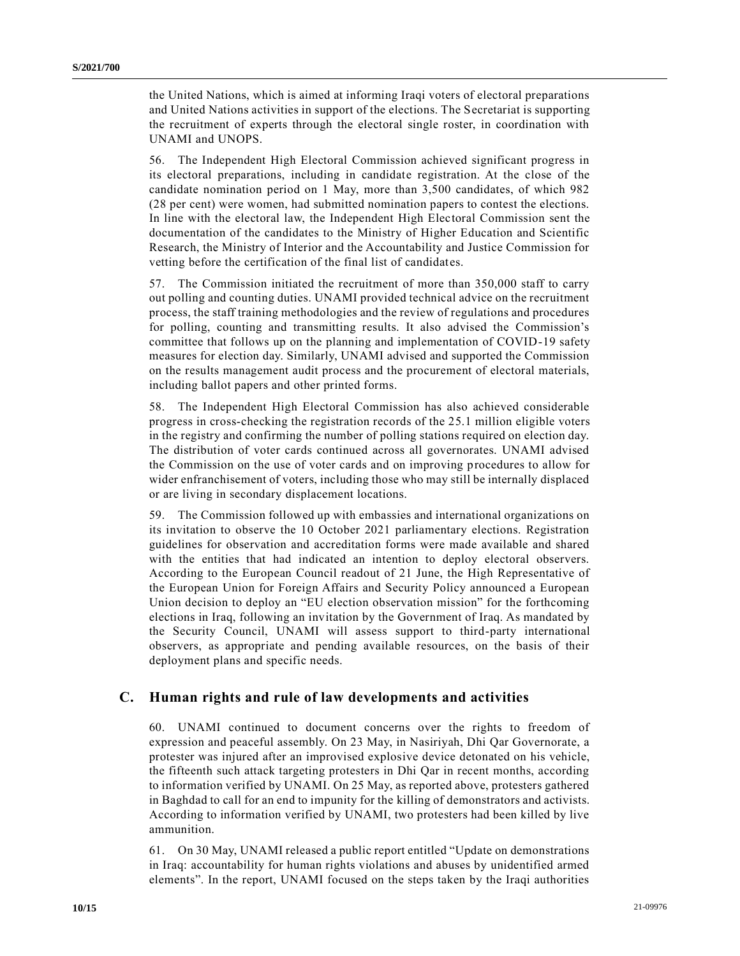the United Nations, which is aimed at informing Iraqi voters of electoral preparations and United Nations activities in support of the elections. The Secretariat is supporting the recruitment of experts through the electoral single roster, in coordination with UNAMI and UNOPS.

56. The Independent High Electoral Commission achieved significant progress in its electoral preparations, including in candidate registration. At the close of the candidate nomination period on 1 May, more than 3,500 candidates, of which 982 (28 per cent) were women, had submitted nomination papers to contest the elections. In line with the electoral law, the Independent High Electoral Commission sent the documentation of the candidates to the Ministry of Higher Education and Scientific Research, the Ministry of Interior and the Accountability and Justice Commission for vetting before the certification of the final list of candidates.

57. The Commission initiated the recruitment of more than 350,000 staff to carry out polling and counting duties. UNAMI provided technical advice on the recruitment process, the staff training methodologies and the review of regulations and procedures for polling, counting and transmitting results. It also advised the Commission's committee that follows up on the planning and implementation of COVID-19 safety measures for election day. Similarly, UNAMI advised and supported the Commission on the results management audit process and the procurement of electoral materials, including ballot papers and other printed forms.

58. The Independent High Electoral Commission has also achieved considerable progress in cross-checking the registration records of the 25.1 million eligible voters in the registry and confirming the number of polling stations required on election day. The distribution of voter cards continued across all governorates. UNAMI advised the Commission on the use of voter cards and on improving procedures to allow for wider enfranchisement of voters, including those who may still be internally displaced or are living in secondary displacement locations.

59. The Commission followed up with embassies and international organizations on its invitation to observe the 10 October 2021 parliamentary elections. Registration guidelines for observation and accreditation forms were made available and shared with the entities that had indicated an intention to deploy electoral observers. According to the European Council readout of 21 June, the High Representative of the European Union for Foreign Affairs and Security Policy announced a European Union decision to deploy an "EU election observation mission" for the forthcoming elections in Iraq, following an invitation by the Government of Iraq. As mandated by the Security Council, UNAMI will assess support to third-party international observers, as appropriate and pending available resources, on the basis of their deployment plans and specific needs.

#### **C. Human rights and rule of law developments and activities**

60. UNAMI continued to document concerns over the rights to freedom of expression and peaceful assembly. On 23 May, in Nasiriyah, Dhi Qar Governorate, a protester was injured after an improvised explosive device detonated on his vehicle, the fifteenth such attack targeting protesters in Dhi Qar in recent months, according to information verified by UNAMI. On 25 May, as reported above, protesters gathered in Baghdad to call for an end to impunity for the killing of demonstrators and activists. According to information verified by UNAMI, two protesters had been killed by live ammunition.

61. On 30 May, UNAMI released a public report entitled "Update on demonstrations in Iraq: accountability for human rights violations and abuses by unidentified armed elements". In the report, UNAMI focused on the steps taken by the Iraqi authorities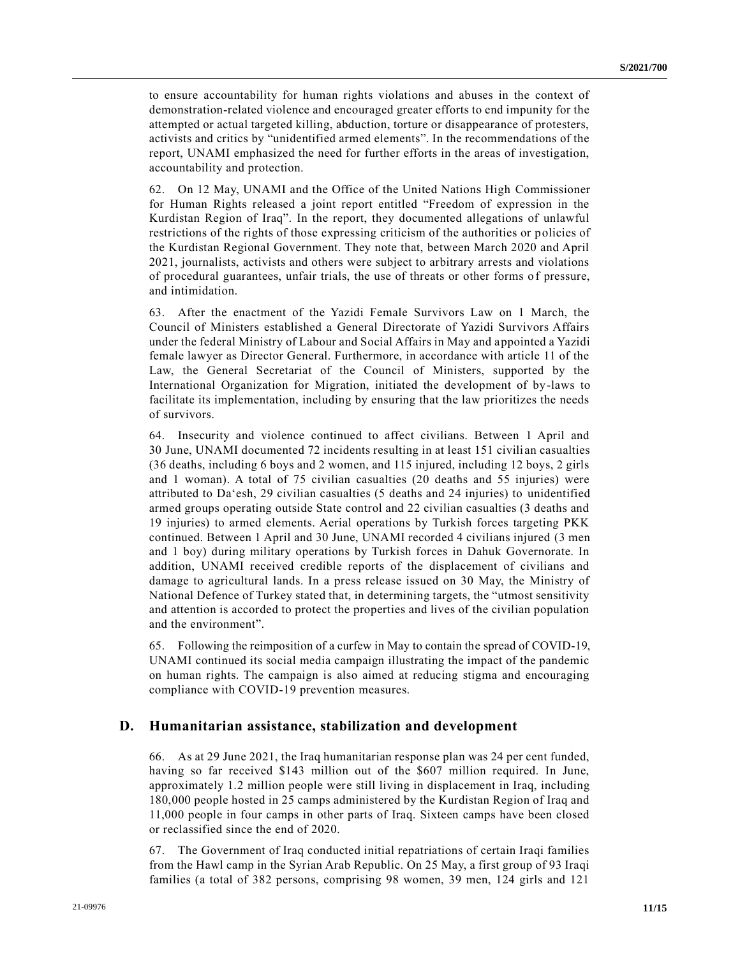to ensure accountability for human rights violations and abuses in the context of demonstration-related violence and encouraged greater efforts to end impunity for the attempted or actual targeted killing, abduction, torture or disappearance of protesters, activists and critics by "unidentified armed elements". In the recommendations of the report, UNAMI emphasized the need for further efforts in the areas of investigation, accountability and protection.

62. On 12 May, UNAMI and the Office of the United Nations High Commissioner for Human Rights released a joint report entitled "Freedom of expression in the Kurdistan Region of Iraq". In the report, they documented allegations of unlawful restrictions of the rights of those expressing criticism of the authorities or policies of the Kurdistan Regional Government. They note that, between March 2020 and April 2021, journalists, activists and others were subject to arbitrary arrests and violations of procedural guarantees, unfair trials, the use of threats or other forms of pressure, and intimidation.

63. After the enactment of the Yazidi Female Survivors Law on 1 March, the Council of Ministers established a General Directorate of Yazidi Survivors Affairs under the federal Ministry of Labour and Social Affairs in May and appointed a Yazidi female lawyer as Director General. Furthermore, in accordance with article 11 of the Law, the General Secretariat of the Council of Ministers, supported by the International Organization for Migration, initiated the development of by-laws to facilitate its implementation, including by ensuring that the law prioritizes the needs of survivors.

64. Insecurity and violence continued to affect civilians. Between 1 April and 30 June, UNAMI documented 72 incidents resulting in at least 151 civili an casualties (36 deaths, including 6 boys and 2 women, and 115 injured, including 12 boys, 2 girls and 1 woman). A total of 75 civilian casualties (20 deaths and 55 injuries) were attributed to Da'esh, 29 civilian casualties (5 deaths and 24 injuries) to unidentified armed groups operating outside State control and 22 civilian casualties (3 deaths and 19 injuries) to armed elements. Aerial operations by Turkish forces targeting PKK continued. Between 1 April and 30 June, UNAMI recorded 4 civilians injured (3 men and 1 boy) during military operations by Turkish forces in Dahuk Governorate. In addition, UNAMI received credible reports of the displacement of civilians and damage to agricultural lands. In a press release issued on 30 May, the Ministry of National Defence of Turkey stated that, in determining targets, the "utmost sensitivity and attention is accorded to protect the properties and lives of the civilian population and the environment".

65. Following the reimposition of a curfew in May to contain the spread of COVID-19, UNAMI continued its social media campaign illustrating the impact of the pandemic on human rights. The campaign is also aimed at reducing stigma and encouraging compliance with COVID-19 prevention measures.

#### **D. Humanitarian assistance, stabilization and development**

66. As at 29 June 2021, the Iraq humanitarian response plan was 24 per cent funded, having so far received \$143 million out of the \$607 million required. In June, approximately 1.2 million people were still living in displacement in Iraq, including 180,000 people hosted in 25 camps administered by the Kurdistan Region of Iraq and 11,000 people in four camps in other parts of Iraq. Sixteen camps have been closed or reclassified since the end of 2020.

67. The Government of Iraq conducted initial repatriations of certain Iraqi families from the Hawl camp in the Syrian Arab Republic. On 25 May, a first group of 93 Iraqi families (a total of 382 persons, comprising 98 women, 39 men, 124 girls and 121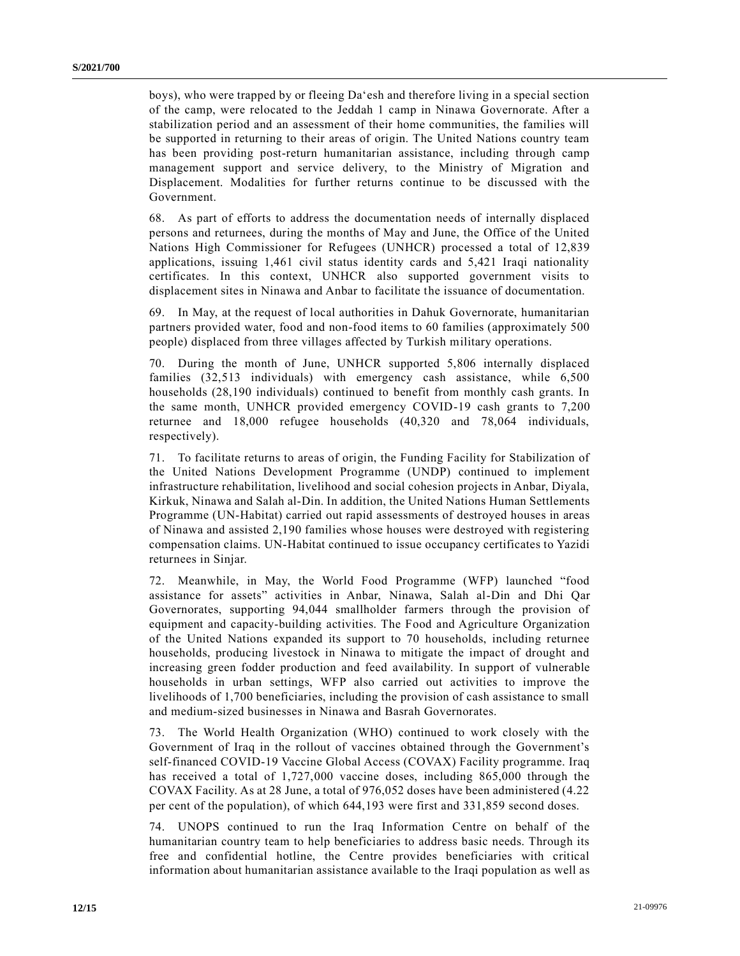boys), who were trapped by or fleeing Da'esh and therefore living in a special section of the camp, were relocated to the Jeddah 1 camp in Ninawa Governorate. After a stabilization period and an assessment of their home communities, the families will be supported in returning to their areas of origin. The United Nations country team has been providing post-return humanitarian assistance, including through camp management support and service delivery, to the Ministry of Migration and Displacement. Modalities for further returns continue to be discussed with the Government.

68. As part of efforts to address the documentation needs of internally displaced persons and returnees, during the months of May and June, the Office of the United Nations High Commissioner for Refugees (UNHCR) processed a total of 12,839 applications, issuing 1,461 civil status identity cards and 5,421 Iraqi nationality certificates. In this context, UNHCR also supported government visits to displacement sites in Ninawa and Anbar to facilitate the issuance of documentation.

69. In May, at the request of local authorities in Dahuk Governorate, humanitarian partners provided water, food and non-food items to 60 families (approximately 500 people) displaced from three villages affected by Turkish military operations.

70. During the month of June, UNHCR supported 5,806 internally displaced families (32,513 individuals) with emergency cash assistance, while 6,500 households (28,190 individuals) continued to benefit from monthly cash grants. In the same month, UNHCR provided emergency COVID-19 cash grants to 7,200 returnee and 18,000 refugee households (40,320 and 78,064 individuals, respectively).

71. To facilitate returns to areas of origin, the Funding Facility for Stabilization of the United Nations Development Programme (UNDP) continued to implement infrastructure rehabilitation, livelihood and social cohesion projects in Anbar, Diyala, Kirkuk, Ninawa and Salah al-Din. In addition, the United Nations Human Settlements Programme (UN-Habitat) carried out rapid assessments of destroyed houses in areas of Ninawa and assisted 2,190 families whose houses were destroyed with registering compensation claims. UN-Habitat continued to issue occupancy certificates to Yazidi returnees in Sinjar.

72. Meanwhile, in May, the World Food Programme (WFP) launched "food assistance for assets" activities in Anbar, Ninawa, Salah al-Din and Dhi Qar Governorates, supporting 94,044 smallholder farmers through the provision of equipment and capacity-building activities. The Food and Agriculture Organization of the United Nations expanded its support to 70 households, including returnee households, producing livestock in Ninawa to mitigate the impact of drought and increasing green fodder production and feed availability. In support of vulnerable households in urban settings, WFP also carried out activities to improve the livelihoods of 1,700 beneficiaries, including the provision of cash assistance to small and medium-sized businesses in Ninawa and Basrah Governorates.

73. The World Health Organization (WHO) continued to work closely with the Government of Iraq in the rollout of vaccines obtained through the Government's self-financed COVID-19 Vaccine Global Access (COVAX) Facility programme. Iraq has received a total of 1,727,000 vaccine doses, including 865,000 through the COVAX Facility. As at 28 June, a total of 976,052 doses have been administered (4.22 per cent of the population), of which 644,193 were first and 331,859 second doses.

74. UNOPS continued to run the Iraq Information Centre on behalf of the humanitarian country team to help beneficiaries to address basic needs. Through its free and confidential hotline, the Centre provides beneficiaries with critical information about humanitarian assistance available to the Iraqi population as well as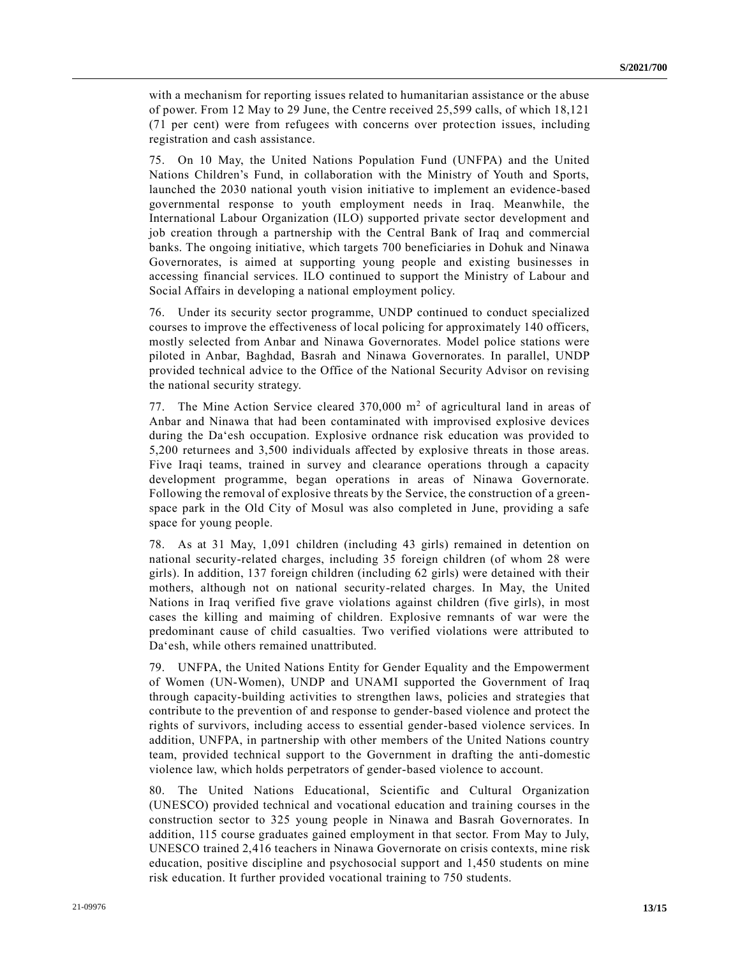with a mechanism for reporting issues related to humanitarian assistance or the abuse of power. From 12 May to 29 June, the Centre received 25,599 calls, of which 18,121 (71 per cent) were from refugees with concerns over protection issues, including registration and cash assistance.

75. On 10 May, the United Nations Population Fund (UNFPA) and the United Nations Children's Fund, in collaboration with the Ministry of Youth and Sports, launched the 2030 national youth vision initiative to implement an evidence-based governmental response to youth employment needs in Iraq. Meanwhile, the International Labour Organization (ILO) supported private sector development and job creation through a partnership with the Central Bank of Iraq and commercial banks. The ongoing initiative, which targets 700 beneficiaries in Dohuk and Ninawa Governorates, is aimed at supporting young people and existing businesses in accessing financial services. ILO continued to support the Ministry of Labour and Social Affairs in developing a national employment policy.

76. Under its security sector programme, UNDP continued to conduct specialized courses to improve the effectiveness of local policing for approximately 140 officers, mostly selected from Anbar and Ninawa Governorates. Model police stations were piloted in Anbar, Baghdad, Basrah and Ninawa Governorates. In parallel, UNDP provided technical advice to the Office of the National Security Advisor on revising the national security strategy.

77. The Mine Action Service cleared  $370,000$  m<sup>2</sup> of agricultural land in areas of Anbar and Ninawa that had been contaminated with improvised explosive devices during the Da'esh occupation. Explosive ordnance risk education was provided to 5,200 returnees and 3,500 individuals affected by explosive threats in those areas. Five Iraqi teams, trained in survey and clearance operations through a capacity development programme, began operations in areas of Ninawa Governorate. Following the removal of explosive threats by the Service, the construction of a greenspace park in the Old City of Mosul was also completed in June, providing a safe space for young people.

78. As at 31 May, 1,091 children (including 43 girls) remained in detention on national security-related charges, including 35 foreign children (of whom 28 were girls). In addition, 137 foreign children (including 62 girls) were detained with their mothers, although not on national security-related charges. In May, the United Nations in Iraq verified five grave violations against children (five girls), in most cases the killing and maiming of children. Explosive remnants of war were the predominant cause of child casualties. Two verified violations were attributed to Da'esh, while others remained unattributed.

79. UNFPA, the United Nations Entity for Gender Equality and the Empowerment of Women (UN-Women), UNDP and UNAMI supported the Government of Iraq through capacity-building activities to strengthen laws, policies and strategies that contribute to the prevention of and response to gender-based violence and protect the rights of survivors, including access to essential gender-based violence services. In addition, UNFPA, in partnership with other members of the United Nations country team, provided technical support to the Government in drafting the anti-domestic violence law, which holds perpetrators of gender-based violence to account.

80. The United Nations Educational, Scientific and Cultural Organization (UNESCO) provided technical and vocational education and training courses in the construction sector to 325 young people in Ninawa and Basrah Governorates. In addition, 115 course graduates gained employment in that sector. From May to July, UNESCO trained 2,416 teachers in Ninawa Governorate on crisis contexts, mine risk education, positive discipline and psychosocial support and 1,450 students on mine risk education. It further provided vocational training to 750 students.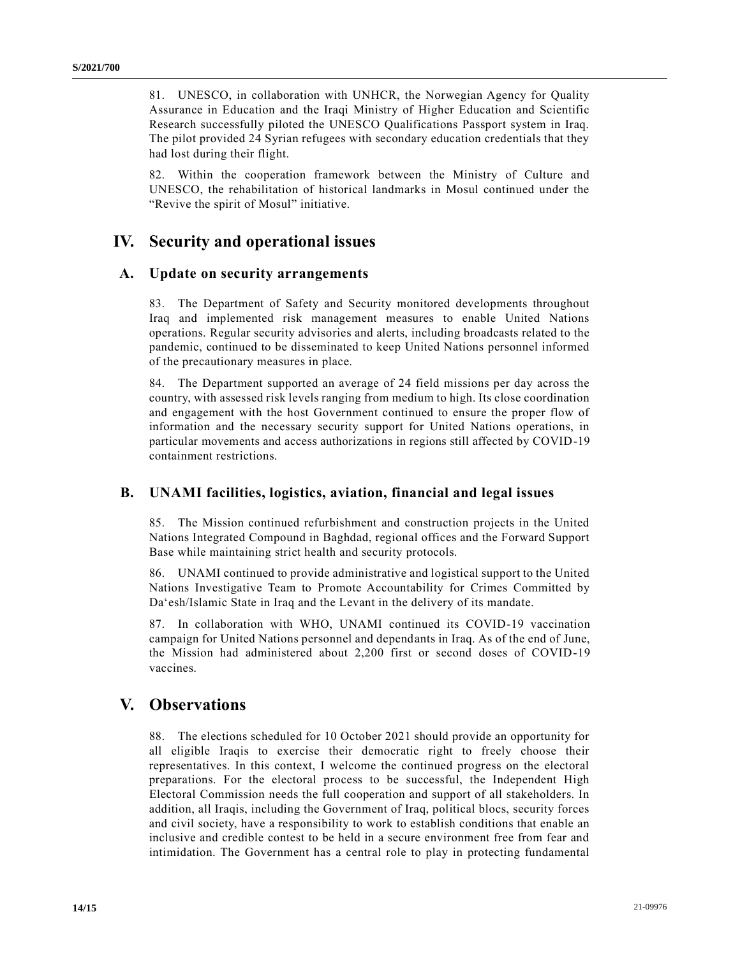81. UNESCO, in collaboration with UNHCR, the Norwegian Agency for Quality Assurance in Education and the Iraqi Ministry of Higher Education and Scientific Research successfully piloted the UNESCO Qualifications Passport system in Iraq. The pilot provided 24 Syrian refugees with secondary education credentials that they had lost during their flight.

82. Within the cooperation framework between the Ministry of Culture and UNESCO, the rehabilitation of historical landmarks in Mosul continued under the "Revive the spirit of Mosul" initiative.

# **IV. Security and operational issues**

### **A. Update on security arrangements**

83. The Department of Safety and Security monitored developments throughout Iraq and implemented risk management measures to enable United Nations operations. Regular security advisories and alerts, including broadcasts related to the pandemic, continued to be disseminated to keep United Nations personnel informed of the precautionary measures in place.

84. The Department supported an average of 24 field missions per day across the country, with assessed risk levels ranging from medium to high. Its close coordination and engagement with the host Government continued to ensure the proper flow of information and the necessary security support for United Nations operations, in particular movements and access authorizations in regions still affected by COVID-19 containment restrictions.

### **B. UNAMI facilities, logistics, aviation, financial and legal issues**

85. The Mission continued refurbishment and construction projects in the United Nations Integrated Compound in Baghdad, regional offices and the Forward Support Base while maintaining strict health and security protocols.

86. UNAMI continued to provide administrative and logistical support to the United Nations Investigative Team to Promote Accountability for Crimes Committed by Da'esh/Islamic State in Iraq and the Levant in the delivery of its mandate.

87. In collaboration with WHO, UNAMI continued its COVID-19 vaccination campaign for United Nations personnel and dependants in Iraq. As of the end of June, the Mission had administered about 2,200 first or second doses of COVID-19 vaccines.

## **V. Observations**

88. The elections scheduled for 10 October 2021 should provide an opportunity for all eligible Iraqis to exercise their democratic right to freely choose their representatives. In this context, I welcome the continued progress on the electoral preparations. For the electoral process to be successful, the Independent High Electoral Commission needs the full cooperation and support of all stakeholders. In addition, all Iraqis, including the Government of Iraq, political blocs, security forces and civil society, have a responsibility to work to establish conditions that enable an inclusive and credible contest to be held in a secure environment free from fear and intimidation. The Government has a central role to play in protecting fundamental